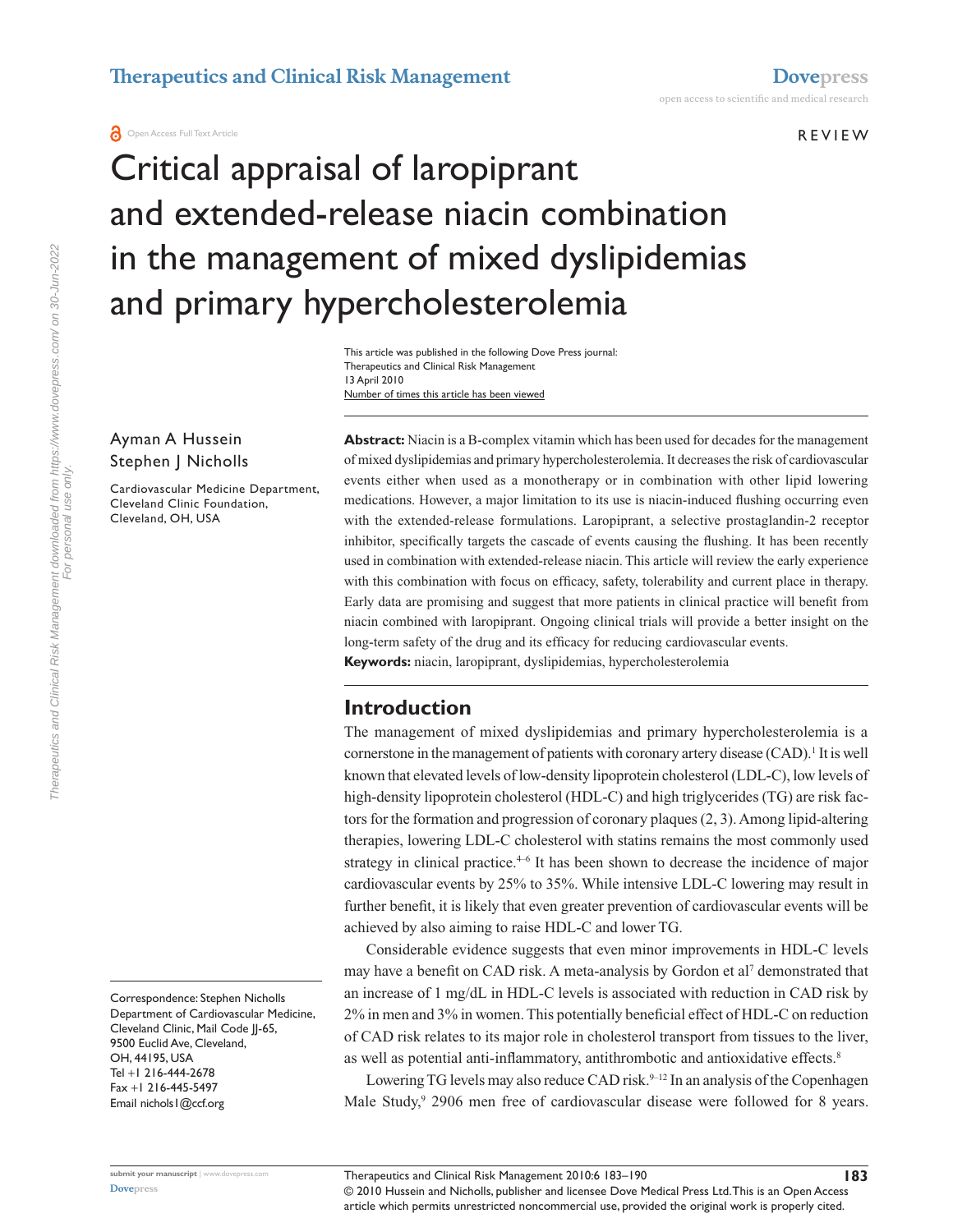**REVIEW** 

# Critical appraisal of laropiprant and extended-release niacin combination in the management of mixed dyslipidemias and primary hypercholesterolemia

Number of times this article has been viewed This article was published in the following Dove Press journal: Therapeutics and Clinical Risk Management 13 April 2010

#### Ayman A Hussein Stephen J Nicholls

Cardiovascular Medicine Department, Cleveland Clinic Foundation, Cleveland, OH, USA

Correspondence: Stephen Nicholls Department of Cardiovascular Medicine, Cleveland Clinic, Mail Code JJ-65, 9500 Euclid Ave, Cleveland, OH, 44195, USA Tel +1 216-444-2678 Fax +1 216-445-5497 Email nichols1@ccf.org

**Abstract:** Niacin is a B-complex vitamin which has been used for decades for the management of mixed dyslipidemias and primary hypercholesterolemia. It decreases the risk of cardiovascular events either when used as a monotherapy or in combination with other lipid lowering medications. However, a major limitation to its use is niacin-induced flushing occurring even with the extended-release formulations. Laropiprant, a selective prostaglandin-2 receptor inhibitor, specifically targets the cascade of events causing the flushing. It has been recently used in combination with extended-release niacin. This article will review the early experience with this combination with focus on efficacy, safety, tolerability and current place in therapy. Early data are promising and suggest that more patients in clinical practice will benefit from niacin combined with laropiprant. Ongoing clinical trials will provide a better insight on the long-term safety of the drug and its efficacy for reducing cardiovascular events. **Keywords:** niacin, laropiprant, dyslipidemias, hypercholesterolemia

# **Introduction**

The management of mixed dyslipidemias and primary hypercholesterolemia is a cornerstone in the management of patients with coronary artery disease (CAD).<sup>1</sup> It is well known that elevated levels of low-density lipoprotein cholesterol (LDL-C), low levels of high-density lipoprotein cholesterol (HDL-C) and high triglycerides (TG) are risk factors for the formation and progression of coronary plaques (2, 3). Among lipid-altering therapies, lowering LDL-C cholesterol with statins remains the most commonly used strategy in clinical practice.<sup>4-6</sup> It has been shown to decrease the incidence of major cardiovascular events by 25% to 35%. While intensive LDL-C lowering may result in further benefit, it is likely that even greater prevention of cardiovascular events will be achieved by also aiming to raise HDL-C and lower TG.

Considerable evidence suggests that even minor improvements in HDL-C levels may have a benefit on CAD risk. A meta-analysis by Gordon et al<sup>7</sup> demonstrated that an increase of 1 mg/dL in HDL-C levels is associated with reduction in CAD risk by 2% in men and 3% in women. This potentially beneficial effect of HDL-C on reduction of CAD risk relates to its major role in cholesterol transport from tissues to the liver, as well as potential anti-inflammatory, antithrombotic and antioxidative effects.<sup>8</sup>

Lowering TG levels may also reduce CAD risk.<sup>9–12</sup> In an analysis of the Copenhagen Male Study,<sup>9</sup> 2906 men free of cardiovascular disease were followed for 8 years.

**183**

© 2010 Hussein and Nicholls, publisher and licensee Dove Medical Press Ltd. This is an Open Access article which permits unrestricted noncommercial use, provided the original work is properly cited.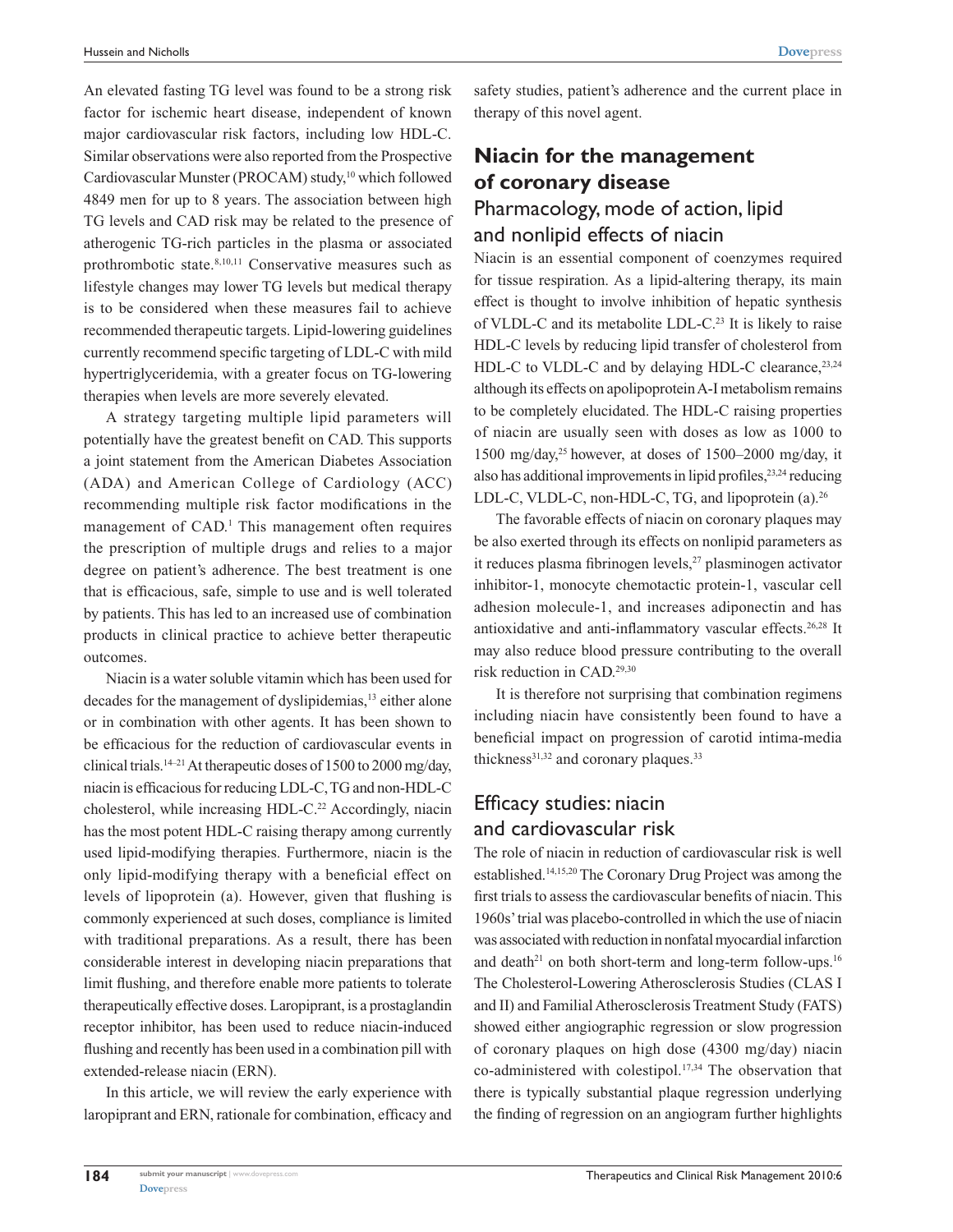An elevated fasting TG level was found to be a strong risk factor for ischemic heart disease, independent of known major cardiovascular risk factors, including low HDL-C. Similar observations were also reported from the Prospective Cardiovascular Munster (PROCAM) study,<sup>10</sup> which followed 4849 men for up to 8 years. The association between high TG levels and CAD risk may be related to the presence of atherogenic TG-rich particles in the plasma or associated prothrombotic state.8,10,11 Conservative measures such as lifestyle changes may lower TG levels but medical therapy is to be considered when these measures fail to achieve recommended therapeutic targets. Lipid-lowering guidelines currently recommend specific targeting of LDL-C with mild hypertriglyceridemia, with a greater focus on TG-lowering therapies when levels are more severely elevated.

A strategy targeting multiple lipid parameters will potentially have the greatest benefit on CAD. This supports a joint statement from the American Diabetes Association (ADA) and American College of Cardiology (ACC) recommending multiple risk factor modifications in the management of CAD.<sup>1</sup> This management often requires the prescription of multiple drugs and relies to a major degree on patient's adherence. The best treatment is one that is efficacious, safe, simple to use and is well tolerated by patients. This has led to an increased use of combination products in clinical practice to achieve better therapeutic outcomes.

Niacin is a water soluble vitamin which has been used for decades for the management of dyslipidemias,<sup>13</sup> either alone or in combination with other agents. It has been shown to be efficacious for the reduction of cardiovascular events in clinical trials.<sup>14–21</sup> At therapeutic doses of 1500 to 2000 mg/day, niacin is efficacious for reducing LDL-C, TG and non-HDL-C cholesterol, while increasing HDL-C.<sup>22</sup> Accordingly, niacin has the most potent HDL-C raising therapy among currently used lipid-modifying therapies. Furthermore, niacin is the only lipid-modifying therapy with a beneficial effect on levels of lipoprotein (a). However, given that flushing is commonly experienced at such doses, compliance is limited with traditional preparations. As a result, there has been considerable interest in developing niacin preparations that limit flushing, and therefore enable more patients to tolerate therapeutically effective doses. Laropiprant, is a prostaglandin receptor inhibitor, has been used to reduce niacin-induced flushing and recently has been used in a combination pill with extended-release niacin (ERN).

In this article, we will review the early experience with laropiprant and ERN, rationale for combination, efficacy and

safety studies, patient's adherence and the current place in therapy of this novel agent.

# **Niacin for the management of coronary disease** Pharmacology, mode of action, lipid

## and nonlipid effects of niacin

Niacin is an essential component of coenzymes required for tissue respiration. As a lipid-altering therapy, its main effect is thought to involve inhibition of hepatic synthesis of VLDL-C and its metabolite LDL-C.23 It is likely to raise HDL-C levels by reducing lipid transfer of cholesterol from HDL-C to VLDL-C and by delaying HDL-C clearance,<sup>23,24</sup> although its effects on apolipoprotein A-I metabolism remains to be completely elucidated. The HDL-C raising properties of niacin are usually seen with doses as low as 1000 to 1500 mg/day,<sup>25</sup> however, at doses of 1500–2000 mg/day, it also has additional improvements in lipid profiles,<sup>23,24</sup> reducing LDL-C, VLDL-C, non-HDL-C, TG, and lipoprotein (a).<sup>26</sup>

The favorable effects of niacin on coronary plaques may be also exerted through its effects on nonlipid parameters as it reduces plasma fibrinogen levels,<sup>27</sup> plasminogen activator inhibitor-1, monocyte chemotactic protein-1, vascular cell adhesion molecule-1, and increases adiponectin and has antioxidative and anti-inflammatory vascular effects.26,28 It may also reduce blood pressure contributing to the overall risk reduction in CAD.29,30

It is therefore not surprising that combination regimens including niacin have consistently been found to have a beneficial impact on progression of carotid intima-media thickness $31,32$  and coronary plaques.<sup>33</sup>

# Efficacy studies: niacin and cardiovascular risk

The role of niacin in reduction of cardiovascular risk is well established.14,15,20 The Coronary Drug Project was among the first trials to assess the cardiovascular benefits of niacin. This 1960s' trial was placebo-controlled in which the use of niacin was associated with reduction in nonfatal myocardial infarction and death<sup>21</sup> on both short-term and long-term follow-ups.<sup>16</sup> The Cholesterol-Lowering Atherosclerosis Studies (CLAS I and II) and Familial Atherosclerosis Treatment Study (FATS) showed either angiographic regression or slow progression of coronary plaques on high dose (4300 mg/day) niacin co-administered with colestipol.17,34 The observation that there is typically substantial plaque regression underlying the finding of regression on an angiogram further highlights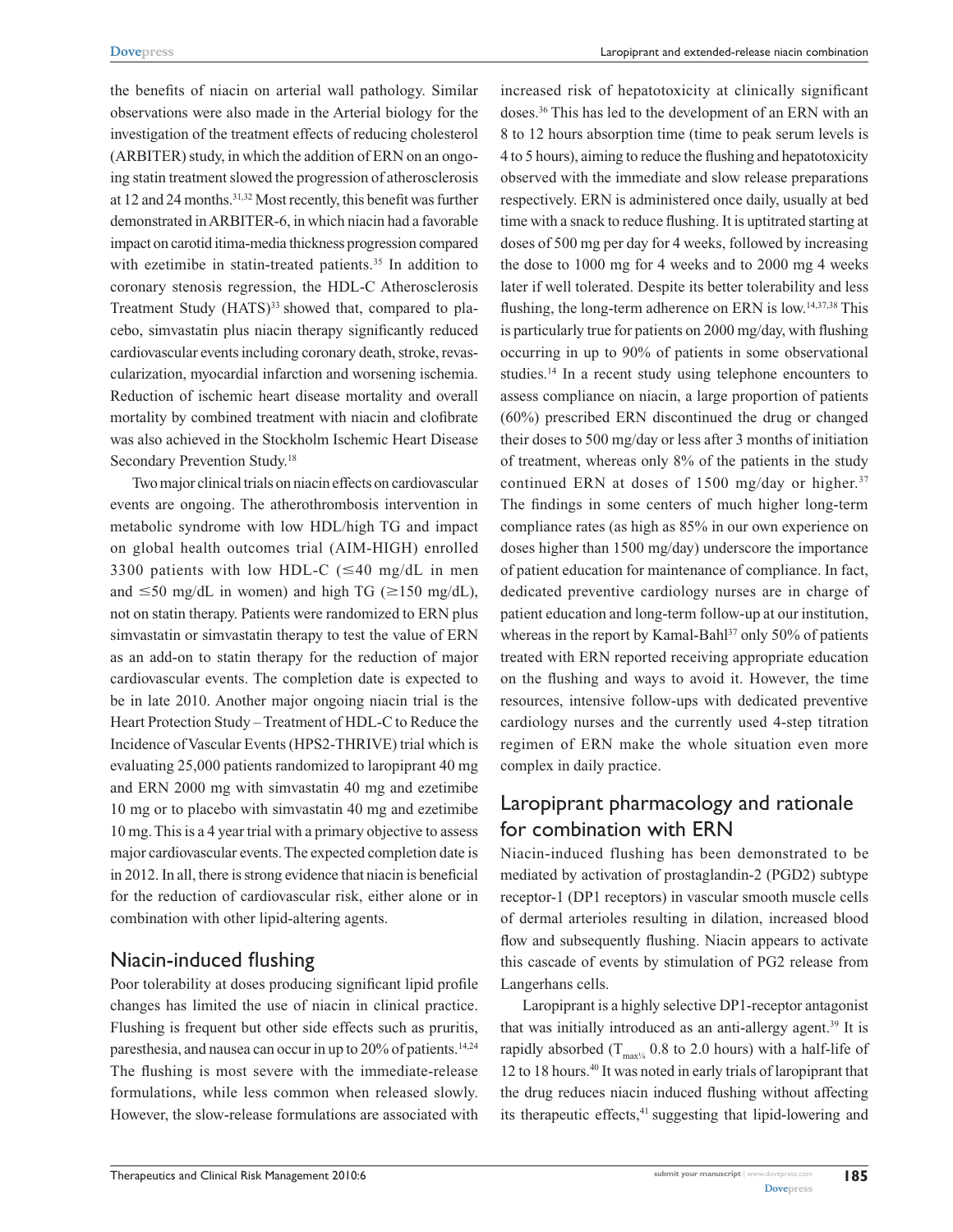the benefits of niacin on arterial wall pathology. Similar observations were also made in the Arterial biology for the investigation of the treatment effects of reducing cholesterol (ARBITER) study, in which the addition of ERN on an ongoing statin treatment slowed the progression of atherosclerosis at 12 and 24 months.<sup>31,32</sup> Most recently, this benefit was further demonstrated in ARBITER-6, in which niacin had a favorable impact on carotid itima-media thickness progression compared with ezetimibe in statin-treated patients.<sup>35</sup> In addition to coronary stenosis regression, the HDL-C Atherosclerosis Treatment Study (HATS)<sup>33</sup> showed that, compared to placebo, simvastatin plus niacin therapy significantly reduced cardiovascular events including coronary death, stroke, revascularization, myocardial infarction and worsening ischemia. Reduction of ischemic heart disease mortality and overall mortality by combined treatment with niacin and clofibrate was also achieved in the Stockholm Ischemic Heart Disease Secondary Prevention Study.18

Two major clinical trials on niacin effects on cardiovascular events are ongoing. The atherothrombosis intervention in metabolic syndrome with low HDL/high TG and impact on global health outcomes trial (AIM-HIGH) enrolled 3300 patients with low HDL-C ( $\leq$ 40 mg/dL in men and  $\leq$ 50 mg/dL in women) and high TG ( $\geq$ 150 mg/dL), not on statin therapy. Patients were randomized to ERN plus simvastatin or simvastatin therapy to test the value of ERN as an add-on to statin therapy for the reduction of major cardiovascular events. The completion date is expected to be in late 2010. Another major ongoing niacin trial is the Heart Protection Study – Treatment of HDL-C to Reduce the Incidence of Vascular Events (HPS2-THRIVE) trial which is evaluating 25,000 patients randomized to laropiprant 40 mg and ERN 2000 mg with simvastatin 40 mg and ezetimibe 10 mg or to placebo with simvastatin 40 mg and ezetimibe 10 mg. This is a 4 year trial with a primary objective to assess major cardiovascular events. The expected completion date is in 2012. In all, there is strong evidence that niacin is beneficial for the reduction of cardiovascular risk, either alone or in combination with other lipid-altering agents.

### Niacin-induced flushing

Poor tolerability at doses producing significant lipid profile changes has limited the use of niacin in clinical practice. Flushing is frequent but other side effects such as pruritis, paresthesia, and nausea can occur in up to 20% of patients.<sup>14,24</sup> The flushing is most severe with the immediate-release formulations, while less common when released slowly. However, the slow-release formulations are associated with increased risk of hepatotoxicity at clinically significant doses.36 This has led to the development of an ERN with an 8 to 12 hours absorption time (time to peak serum levels is 4 to 5 hours), aiming to reduce the flushing and hepatotoxicity observed with the immediate and slow release preparations respectively. ERN is administered once daily, usually at bed time with a snack to reduce flushing. It is uptitrated starting at doses of 500 mg per day for 4 weeks, followed by increasing the dose to 1000 mg for 4 weeks and to 2000 mg 4 weeks later if well tolerated. Despite its better tolerability and less flushing, the long-term adherence on ERN is low.14,37,38 This is particularly true for patients on 2000 mg/day, with flushing occurring in up to 90% of patients in some observational studies.14 In a recent study using telephone encounters to assess compliance on niacin, a large proportion of patients (60%) prescribed ERN discontinued the drug or changed their doses to 500 mg/day or less after 3 months of initiation of treatment, whereas only 8% of the patients in the study continued ERN at doses of 1500 mg/day or higher. $37$ The findings in some centers of much higher long-term compliance rates (as high as 85% in our own experience on doses higher than 1500 mg/day) underscore the importance of patient education for maintenance of compliance. In fact, dedicated preventive cardiology nurses are in charge of patient education and long-term follow-up at our institution, whereas in the report by Kamal-Bahl<sup>37</sup> only 50% of patients treated with ERN reported receiving appropriate education on the flushing and ways to avoid it. However, the time resources, intensive follow-ups with dedicated preventive cardiology nurses and the currently used 4-step titration regimen of ERN make the whole situation even more complex in daily practice.

# Laropiprant pharmacology and rationale for combination with ERN

Niacin-induced flushing has been demonstrated to be mediated by activation of prostaglandin-2 (PGD2) subtype receptor-1 (DP1 receptors) in vascular smooth muscle cells of dermal arterioles resulting in dilation, increased blood flow and subsequently flushing. Niacin appears to activate this cascade of events by stimulation of PG2 release from Langerhans cells.

Laropiprant is a highly selective DP1-receptor antagonist that was initially introduced as an anti-allergy agent.<sup>39</sup> It is rapidly absorbed  $(T_{\text{max} \frac{1}{2}} 0.8 \text{ to } 2.0 \text{ hours})$  with a half-life of 12 to 18 hours.<sup>40</sup> It was noted in early trials of laropiprant that the drug reduces niacin induced flushing without affecting its therapeutic effects,<sup>41</sup> suggesting that lipid-lowering and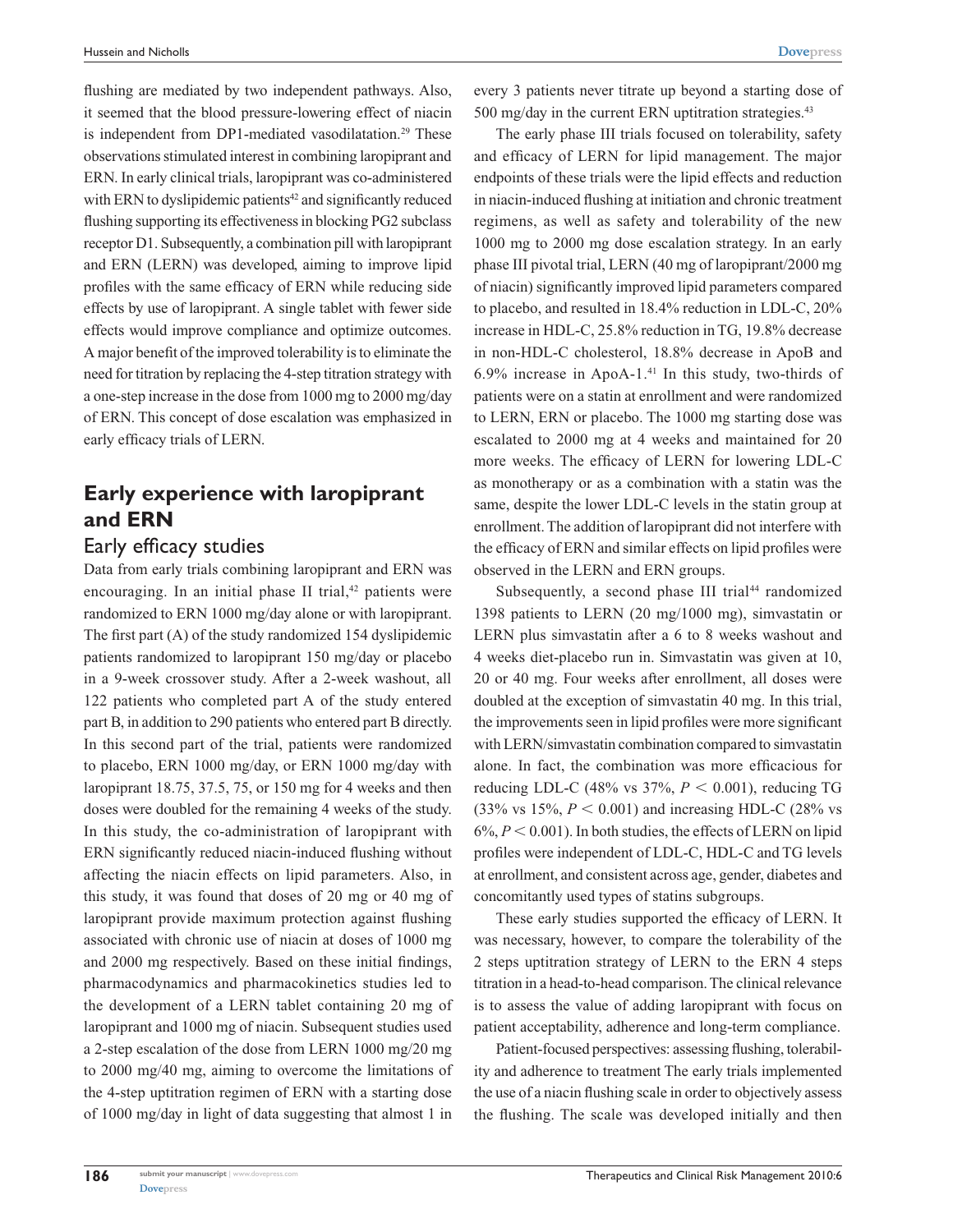flushing are mediated by two independent pathways. Also, it seemed that the blood pressure-lowering effect of niacin is independent from DP1-mediated vasodilatation.<sup>29</sup> These observations stimulated interest in combining laropiprant and ERN. In early clinical trials, laropiprant was co-administered with ERN to dyslipidemic patients<sup>42</sup> and significantly reduced flushing supporting its effectiveness in blocking PG2 subclass receptor D1. Subsequently, a combination pill with laropiprant and ERN (LERN) was developed, aiming to improve lipid profiles with the same efficacy of ERN while reducing side effects by use of laropiprant. A single tablet with fewer side effects would improve compliance and optimize outcomes. A major benefit of the improved tolerability is to eliminate the need for titration by replacing the 4-step titration strategy with a one-step increase in the dose from 1000 mg to 2000 mg/day of ERN. This concept of dose escalation was emphasized in early efficacy trials of LERN.

# **Early experience with laropiprant and ERN**

# Early efficacy studies

Data from early trials combining laropiprant and ERN was encouraging. In an initial phase II trial, $42$  patients were randomized to ERN 1000 mg/day alone or with laropiprant. The first part (A) of the study randomized 154 dyslipidemic patients randomized to laropiprant 150 mg/day or placebo in a 9-week crossover study. After a 2-week washout, all 122 patients who completed part A of the study entered part B, in addition to 290 patients who entered part B directly. In this second part of the trial, patients were randomized to placebo, ERN 1000 mg/day, or ERN 1000 mg/day with laropiprant 18.75, 37.5, 75, or 150 mg for 4 weeks and then doses were doubled for the remaining 4 weeks of the study. In this study, the co-administration of laropiprant with ERN significantly reduced niacin-induced flushing without affecting the niacin effects on lipid parameters. Also, in this study, it was found that doses of 20 mg or 40 mg of laropiprant provide maximum protection against flushing associated with chronic use of niacin at doses of 1000 mg and 2000 mg respectively. Based on these initial findings, pharmacodynamics and pharmacokinetics studies led to the development of a LERN tablet containing 20 mg of laropiprant and 1000 mg of niacin. Subsequent studies used a 2-step escalation of the dose from LERN 1000 mg/20 mg to 2000 mg/40 mg, aiming to overcome the limitations of the 4-step uptitration regimen of ERN with a starting dose of 1000 mg/day in light of data suggesting that almost 1 in every 3 patients never titrate up beyond a starting dose of 500 mg/day in the current ERN uptitration strategies.<sup>43</sup>

The early phase III trials focused on tolerability, safety and efficacy of LERN for lipid management. The major endpoints of these trials were the lipid effects and reduction in niacin-induced flushing at initiation and chronic treatment regimens, as well as safety and tolerability of the new 1000 mg to 2000 mg dose escalation strategy. In an early phase III pivotal trial, LERN (40 mg of laropiprant/2000 mg of niacin) significantly improved lipid parameters compared to placebo, and resulted in 18.4% reduction in LDL-C, 20% increase in HDL-C, 25.8% reduction in TG, 19.8% decrease in non-HDL-C cholesterol, 18.8% decrease in ApoB and 6.9% increase in ApoA-1. $41$  In this study, two-thirds of patients were on a statin at enrollment and were randomized to LERN, ERN or placebo. The 1000 mg starting dose was escalated to 2000 mg at 4 weeks and maintained for 20 more weeks. The efficacy of LERN for lowering LDL-C as monotherapy or as a combination with a statin was the same, despite the lower LDL-C levels in the statin group at enrollment. The addition of laropiprant did not interfere with the efficacy of ERN and similar effects on lipid profiles were observed in the LERN and ERN groups.

Subsequently, a second phase III trial<sup>44</sup> randomized 1398 patients to LERN (20 mg/1000 mg), simvastatin or LERN plus simvastatin after a 6 to 8 weeks washout and 4 weeks diet-placebo run in. Simvastatin was given at 10, 20 or 40 mg. Four weeks after enrollment, all doses were doubled at the exception of simvastatin 40 mg. In this trial, the improvements seen in lipid profiles were more significant with LERN/simvastatin combination compared to simvastatin alone. In fact, the combination was more efficacious for reducing LDL-C (48% vs  $37\%$ ,  $P < 0.001$ ), reducing TG  $(33\% \text{ vs } 15\%, P < 0.001)$  and increasing HDL-C  $(28\% \text{ vs } 15\%)$  $6\%, P \leq 0.001$ ). In both studies, the effects of LERN on lipid profiles were independent of LDL-C, HDL-C and TG levels at enrollment, and consistent across age, gender, diabetes and concomitantly used types of statins subgroups.

These early studies supported the efficacy of LERN. It was necessary, however, to compare the tolerability of the 2 steps uptitration strategy of LERN to the ERN 4 steps titration in a head-to-head comparison. The clinical relevance is to assess the value of adding laropiprant with focus on patient acceptability, adherence and long-term compliance.

Patient-focused perspectives: assessing flushing, tolerability and adherence to treatment The early trials implemented the use of a niacin flushing scale in order to objectively assess the flushing. The scale was developed initially and then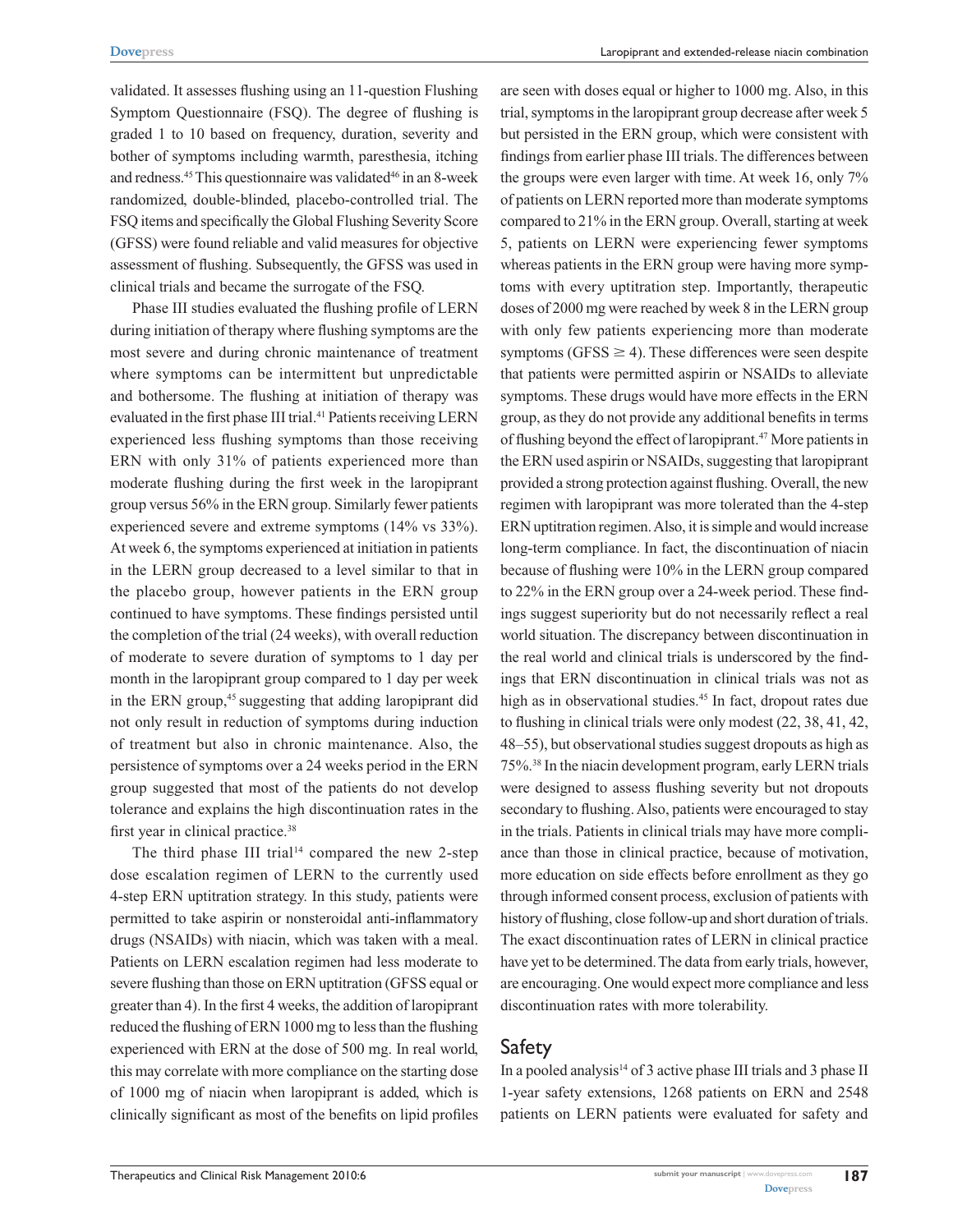validated. It assesses flushing using an 11-question Flushing Symptom Questionnaire (FSQ). The degree of flushing is graded 1 to 10 based on frequency, duration, severity and bother of symptoms including warmth, paresthesia, itching and redness.<sup>45</sup> This questionnaire was validated<sup>46</sup> in an 8-week randomized, double-blinded, placebo-controlled trial. The FSQ items and specifically the Global Flushing Severity Score (GFSS) were found reliable and valid measures for objective assessment of flushing. Subsequently, the GFSS was used in clinical trials and became the surrogate of the FSQ.

Phase III studies evaluated the flushing profile of LERN during initiation of therapy where flushing symptoms are the most severe and during chronic maintenance of treatment where symptoms can be intermittent but unpredictable and bothersome. The flushing at initiation of therapy was evaluated in the first phase III trial.<sup>41</sup> Patients receiving LERN experienced less flushing symptoms than those receiving ERN with only 31% of patients experienced more than moderate flushing during the first week in the laropiprant group versus 56% in the ERN group. Similarly fewer patients experienced severe and extreme symptoms (14% vs 33%). At week 6, the symptoms experienced at initiation in patients in the LERN group decreased to a level similar to that in the placebo group, however patients in the ERN group continued to have symptoms. These findings persisted until the completion of the trial (24 weeks), with overall reduction of moderate to severe duration of symptoms to 1 day per month in the laropiprant group compared to 1 day per week in the ERN group,<sup>45</sup> suggesting that adding laropiprant did not only result in reduction of symptoms during induction of treatment but also in chronic maintenance. Also, the persistence of symptoms over a 24 weeks period in the ERN group suggested that most of the patients do not develop tolerance and explains the high discontinuation rates in the first year in clinical practice.38

The third phase III trial<sup>14</sup> compared the new 2-step dose escalation regimen of LERN to the currently used 4-step ERN uptitration strategy. In this study, patients were permitted to take aspirin or nonsteroidal anti-inflammatory drugs (NSAIDs) with niacin, which was taken with a meal. Patients on LERN escalation regimen had less moderate to severe flushing than those on ERN uptitration (GFSS equal or greater than 4). In the first 4 weeks, the addition of laropiprant reduced the flushing of ERN 1000 mg to less than the flushing experienced with ERN at the dose of 500 mg. In real world, this may correlate with more compliance on the starting dose of 1000 mg of niacin when laropiprant is added, which is clinically significant as most of the benefits on lipid profiles

are seen with doses equal or higher to 1000 mg. Also, in this trial, symptoms in the laropiprant group decrease after week 5 but persisted in the ERN group, which were consistent with findings from earlier phase III trials. The differences between the groups were even larger with time. At week 16, only 7% of patients on LERN reported more than moderate symptoms compared to 21% in the ERN group. Overall, starting at week 5, patients on LERN were experiencing fewer symptoms whereas patients in the ERN group were having more symptoms with every uptitration step. Importantly, therapeutic doses of 2000 mg were reached by week 8 in the LERN group with only few patients experiencing more than moderate symptoms (GFSS  $\geq$  4). These differences were seen despite that patients were permitted aspirin or NSAIDs to alleviate symptoms. These drugs would have more effects in the ERN group, as they do not provide any additional benefits in terms of flushing beyond the effect of laropiprant.47 More patients in the ERN used aspirin or NSAIDs, suggesting that laropiprant provided a strong protection against flushing. Overall, the new regimen with laropiprant was more tolerated than the 4-step ERN uptitration regimen. Also, it is simple and would increase long-term compliance. In fact, the discontinuation of niacin because of flushing were 10% in the LERN group compared to 22% in the ERN group over a 24-week period. These findings suggest superiority but do not necessarily reflect a real world situation. The discrepancy between discontinuation in the real world and clinical trials is underscored by the findings that ERN discontinuation in clinical trials was not as high as in observational studies.<sup>45</sup> In fact, dropout rates due to flushing in clinical trials were only modest (22, 38, 41, 42, 48–55), but observational studies suggest dropouts as high as 75%.38 In the niacin development program, early LERN trials were designed to assess flushing severity but not dropouts secondary to flushing. Also, patients were encouraged to stay in the trials. Patients in clinical trials may have more compliance than those in clinical practice, because of motivation, more education on side effects before enrollment as they go through informed consent process, exclusion of patients with history of flushing, close follow-up and short duration of trials. The exact discontinuation rates of LERN in clinical practice have yet to be determined. The data from early trials, however, are encouraging. One would expect more compliance and less discontinuation rates with more tolerability.

### Safety

In a pooled analysis<sup>14</sup> of 3 active phase III trials and 3 phase II 1-year safety extensions, 1268 patients on ERN and 2548 patients on LERN patients were evaluated for safety and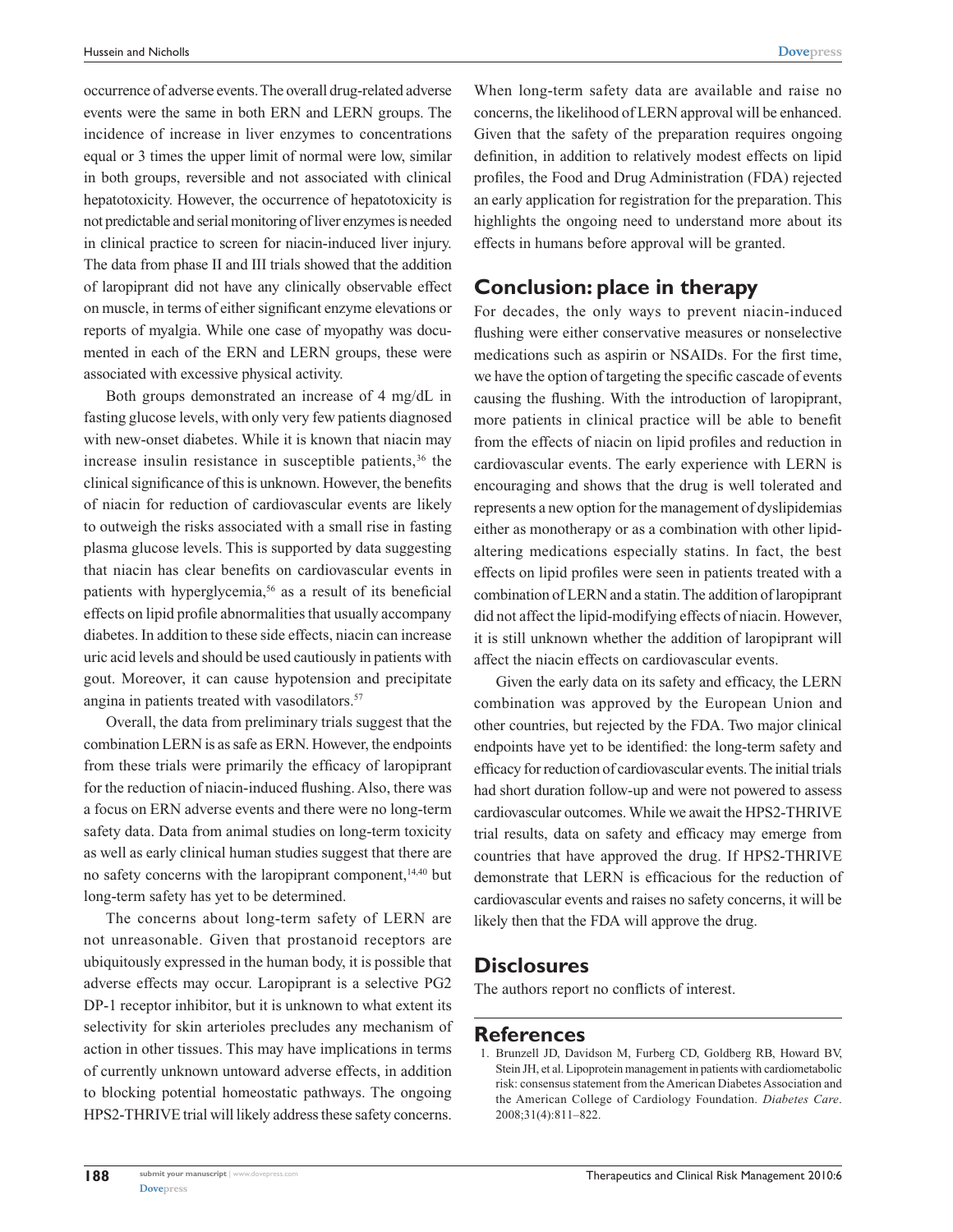occurrence of adverse events. The overall drug-related adverse events were the same in both ERN and LERN groups. The incidence of increase in liver enzymes to concentrations equal or 3 times the upper limit of normal were low, similar in both groups, reversible and not associated with clinical hepatotoxicity. However, the occurrence of hepatotoxicity is not predictable and serial monitoring of liver enzymes is needed in clinical practice to screen for niacin-induced liver injury. The data from phase II and III trials showed that the addition of laropiprant did not have any clinically observable effect on muscle, in terms of either significant enzyme elevations or reports of myalgia. While one case of myopathy was documented in each of the ERN and LERN groups, these were associated with excessive physical activity.

Both groups demonstrated an increase of 4 mg/dL in fasting glucose levels, with only very few patients diagnosed with new-onset diabetes. While it is known that niacin may increase insulin resistance in susceptible patients, $36$  the clinical significance of this is unknown. However, the benefits of niacin for reduction of cardiovascular events are likely to outweigh the risks associated with a small rise in fasting plasma glucose levels. This is supported by data suggesting that niacin has clear benefits on cardiovascular events in patients with hyperglycemia,<sup>56</sup> as a result of its beneficial effects on lipid profile abnormalities that usually accompany diabetes. In addition to these side effects, niacin can increase uric acid levels and should be used cautiously in patients with gout. Moreover, it can cause hypotension and precipitate angina in patients treated with vasodilators.<sup>57</sup>

Overall, the data from preliminary trials suggest that the combination LERN is as safe as ERN. However, the endpoints from these trials were primarily the efficacy of laropiprant for the reduction of niacin-induced flushing. Also, there was a focus on ERN adverse events and there were no long-term safety data. Data from animal studies on long-term toxicity as well as early clinical human studies suggest that there are no safety concerns with the laropiprant component,<sup>14,40</sup> but long-term safety has yet to be determined.

The concerns about long-term safety of LERN are not unreasonable. Given that prostanoid receptors are ubiquitously expressed in the human body, it is possible that adverse effects may occur. Laropiprant is a selective PG2 DP-1 receptor inhibitor, but it is unknown to what extent its selectivity for skin arterioles precludes any mechanism of action in other tissues. This may have implications in terms of currently unknown untoward adverse effects, in addition to blocking potential homeostatic pathways. The ongoing HPS2-THRIVE trial will likely address these safety concerns.

When long-term safety data are available and raise no concerns, the likelihood of LERN approval will be enhanced. Given that the safety of the preparation requires ongoing definition, in addition to relatively modest effects on lipid profiles, the Food and Drug Administration (FDA) rejected an early application for registration for the preparation. This highlights the ongoing need to understand more about its effects in humans before approval will be granted.

#### **Conclusion: place in therapy**

For decades, the only ways to prevent niacin-induced flushing were either conservative measures or nonselective medications such as aspirin or NSAIDs. For the first time, we have the option of targeting the specific cascade of events causing the flushing. With the introduction of laropiprant, more patients in clinical practice will be able to benefit from the effects of niacin on lipid profiles and reduction in cardiovascular events. The early experience with LERN is encouraging and shows that the drug is well tolerated and represents a new option for the management of dyslipidemias either as monotherapy or as a combination with other lipidaltering medications especially statins. In fact, the best effects on lipid profiles were seen in patients treated with a combination of LERN and a statin. The addition of laropiprant did not affect the lipid-modifying effects of niacin. However, it is still unknown whether the addition of laropiprant will affect the niacin effects on cardiovascular events.

Given the early data on its safety and efficacy, the LERN combination was approved by the European Union and other countries, but rejected by the FDA. Two major clinical endpoints have yet to be identified: the long-term safety and efficacy for reduction of cardiovascular events. The initial trials had short duration follow-up and were not powered to assess cardiovascular outcomes. While we await the HPS2-THRIVE trial results, data on safety and efficacy may emerge from countries that have approved the drug. If HPS2-THRIVE demonstrate that LERN is efficacious for the reduction of cardiovascular events and raises no safety concerns, it will be likely then that the FDA will approve the drug.

#### **Disclosures**

The authors report no conflicts of interest.

#### **References**

1. Brunzell JD, Davidson M, Furberg CD, Goldberg RB, Howard BV, Stein JH, et al. Lipoprotein management in patients with cardiometabolic risk: consensus statement from the American Diabetes Association and the American College of Cardiology Foundation. *Diabetes Care*. 2008;31(4):811–822.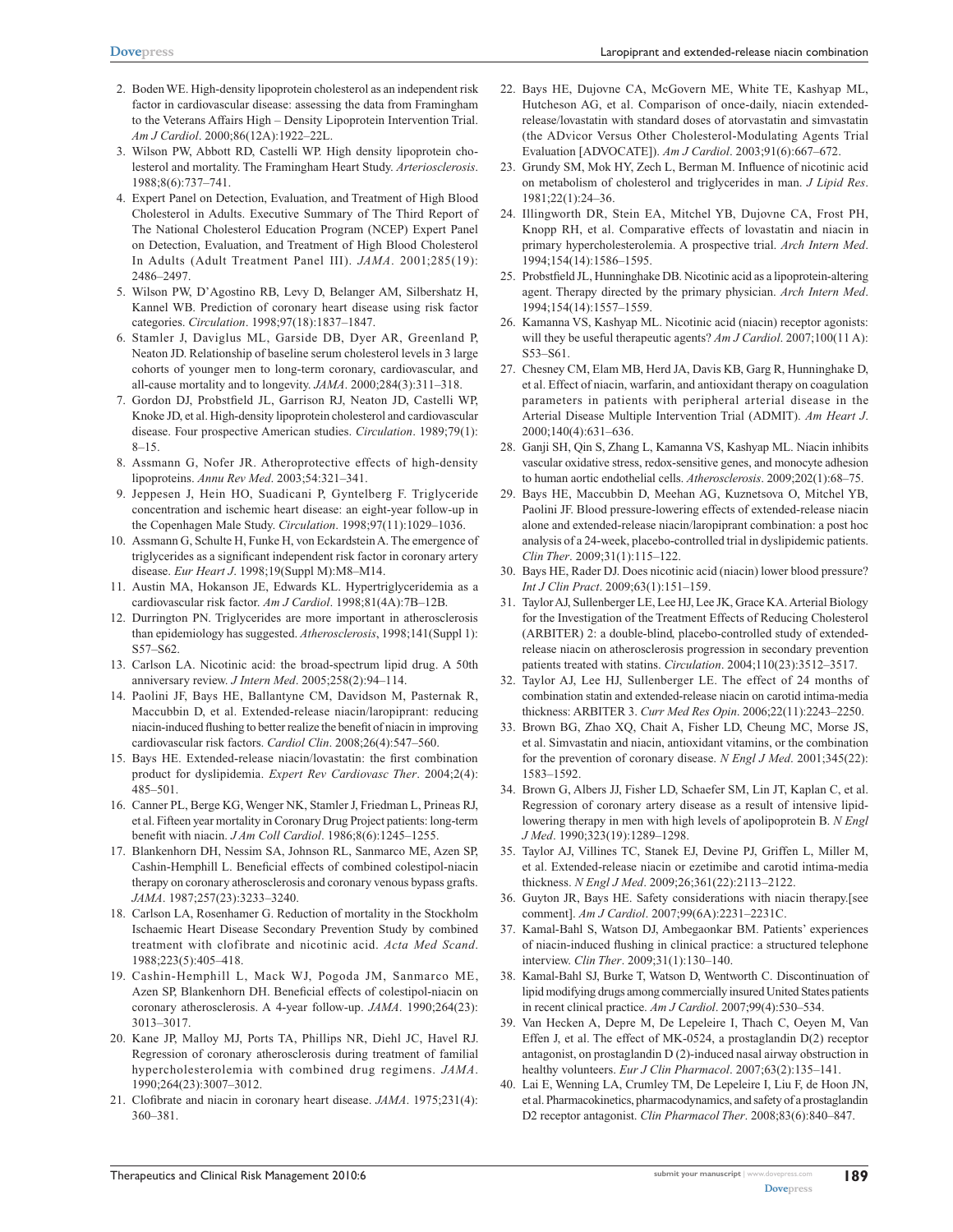- 2. Boden WE. High-density lipoprotein cholesterol as an independent risk factor in cardiovascular disease: assessing the data from Framingham to the Veterans Affairs High – Density Lipoprotein Intervention Trial. *Am J Cardiol*. 2000;86(12A):1922–22L.
- 3. Wilson PW, Abbott RD, Castelli WP. High density lipoprotein cholesterol and mortality. The Framingham Heart Study. *Arteriosclerosis*. 1988;8(6):737–741.
- 4. Expert Panel on Detection, Evaluation, and Treatment of High Blood Cholesterol in Adults. Executive Summary of The Third Report of The National Cholesterol Education Program (NCEP) Expert Panel on Detection, Evaluation, and Treatment of High Blood Cholesterol In Adults (Adult Treatment Panel III). *JAMA*. 2001;285(19): 2486–2497.
- 5. Wilson PW, D'Agostino RB, Levy D, Belanger AM, Silbershatz H, Kannel WB. Prediction of coronary heart disease using risk factor categories. *Circulation*. 1998;97(18):1837–1847.
- 6. Stamler J, Daviglus ML, Garside DB, Dyer AR, Greenland P, Neaton JD. Relationship of baseline serum cholesterol levels in 3 large cohorts of younger men to long-term coronary, cardiovascular, and all-cause mortality and to longevity. *JAMA*. 2000;284(3):311–318.
- 7. Gordon DJ, Probstfield JL, Garrison RJ, Neaton JD, Castelli WP, Knoke JD, et al. High-density lipoprotein cholesterol and cardiovascular disease. Four prospective American studies. *Circulation*. 1989;79(1): 8–15.
- 8. Assmann G, Nofer JR. Atheroprotective effects of high-density lipoproteins. *Annu Rev Med*. 2003;54:321–341.
- 9. Jeppesen J, Hein HO, Suadicani P, Gyntelberg F. Triglyceride concentration and ischemic heart disease: an eight-year follow-up in the Copenhagen Male Study. *Circulation*. 1998;97(11):1029–1036.
- 10. Assmann G, Schulte H, Funke H, von Eckardstein A. The emergence of triglycerides as a significant independent risk factor in coronary artery disease. *Eur Heart J*. 1998;19(Suppl M):M8–M14.
- 11. Austin MA, Hokanson JE, Edwards KL. Hypertriglyceridemia as a cardiovascular risk factor. *Am J Cardiol*. 1998;81(4A):7B–12B.
- 12. Durrington PN. Triglycerides are more important in atherosclerosis than epidemiology has suggested. *Atherosclerosis*, 1998;141(Suppl 1): S57–S62.
- 13. Carlson LA. Nicotinic acid: the broad-spectrum lipid drug. A 50th anniversary review. *J Intern Med*. 2005;258(2):94–114.
- 14. Paolini JF, Bays HE, Ballantyne CM, Davidson M, Pasternak R, Maccubbin D, et al. Extended-release niacin/laropiprant: reducing niacin-induced flushing to better realize the benefit of niacin in improving cardiovascular risk factors. *Cardiol Clin*. 2008;26(4):547–560.
- 15. Bays HE. Extended-release niacin/lovastatin: the first combination product for dyslipidemia. *Expert Rev Cardiovasc Ther*. 2004;2(4): 485–501.
- 16. Canner PL, Berge KG, Wenger NK, Stamler J, Friedman L, Prineas RJ, et al. Fifteen year mortality in Coronary Drug Project patients: long-term benefit with niacin. *J Am Coll Cardiol*. 1986;8(6):1245–1255.
- 17. Blankenhorn DH, Nessim SA, Johnson RL, Sanmarco ME, Azen SP, Cashin-Hemphill L. Beneficial effects of combined colestipol-niacin therapy on coronary atherosclerosis and coronary venous bypass grafts. *JAMA*. 1987;257(23):3233–3240.
- 18. Carlson LA, Rosenhamer G. Reduction of mortality in the Stockholm Ischaemic Heart Disease Secondary Prevention Study by combined treatment with clofibrate and nicotinic acid. *Acta Med Scand*. 1988;223(5):405–418.
- 19. Cashin-Hemphill L, Mack WJ, Pogoda JM, Sanmarco ME, Azen SP, Blankenhorn DH. Beneficial effects of colestipol-niacin on coronary atherosclerosis. A 4-year follow-up. *JAMA*. 1990;264(23): 3013–3017.
- 20. Kane JP, Malloy MJ, Ports TA, Phillips NR, Diehl JC, Havel RJ. Regression of coronary atherosclerosis during treatment of familial hypercholesterolemia with combined drug regimens. *JAMA*. 1990;264(23):3007–3012.
- 21. Clofibrate and niacin in coronary heart disease. *JAMA*. 1975;231(4): 360–381.
- 22. Bays HE, Dujovne CA, McGovern ME, White TE, Kashyap ML, Hutcheson AG, et al. Comparison of once-daily, niacin extendedrelease/lovastatin with standard doses of atorvastatin and simvastatin (the ADvicor Versus Other Cholesterol-Modulating Agents Trial Evaluation [ADVOCATE]). *Am J Cardiol*. 2003;91(6):667–672.
- 23. Grundy SM, Mok HY, Zech L, Berman M. Influence of nicotinic acid on metabolism of cholesterol and triglycerides in man. *J Lipid Res*. 1981;22(1):24–36.
- 24. Illingworth DR, Stein EA, Mitchel YB, Dujovne CA, Frost PH, Knopp RH, et al. Comparative effects of lovastatin and niacin in primary hypercholesterolemia. A prospective trial. *Arch Intern Med*. 1994;154(14):1586–1595.
- 25. Probstfield JL, Hunninghake DB. Nicotinic acid as a lipoprotein-altering agent. Therapy directed by the primary physician. *Arch Intern Med*. 1994;154(14):1557–1559.
- 26. Kamanna VS, Kashyap ML. Nicotinic acid (niacin) receptor agonists: will they be useful therapeutic agents? *Am J Cardiol*. 2007;100(11 A): S53–S61.
- 27. Chesney CM, Elam MB, Herd JA, Davis KB, Garg R, Hunninghake D, et al. Effect of niacin, warfarin, and antioxidant therapy on coagulation parameters in patients with peripheral arterial disease in the Arterial Disease Multiple Intervention Trial (ADMIT). *Am Heart J*. 2000;140(4):631–636.
- 28. Ganji SH, Qin S, Zhang L, Kamanna VS, Kashyap ML. Niacin inhibits vascular oxidative stress, redox-sensitive genes, and monocyte adhesion to human aortic endothelial cells. *Atherosclerosis*. 2009;202(1):68–75.
- 29. Bays HE, Maccubbin D, Meehan AG, Kuznetsova O, Mitchel YB, Paolini JF. Blood pressure-lowering effects of extended-release niacin alone and extended-release niacin/laropiprant combination: a post hoc analysis of a 24-week, placebo-controlled trial in dyslipidemic patients. *Clin Ther*. 2009;31(1):115–122.
- 30. Bays HE, Rader DJ. Does nicotinic acid (niacin) lower blood pressure? *Int J Clin Pract*. 2009;63(1):151–159.
- 31. Taylor AJ, Sullenberger LE, Lee HJ, Lee JK, Grace KA. Arterial Biology for the Investigation of the Treatment Effects of Reducing Cholesterol (ARBITER) 2: a double-blind, placebo-controlled study of extendedrelease niacin on atherosclerosis progression in secondary prevention patients treated with statins. *Circulation*. 2004;110(23):3512–3517.
- 32. Taylor AJ, Lee HJ, Sullenberger LE. The effect of 24 months of combination statin and extended-release niacin on carotid intima-media thickness: ARBITER 3. *Curr Med Res Opin*. 2006;22(11):2243–2250.
- 33. Brown BG, Zhao XQ, Chait A, Fisher LD, Cheung MC, Morse JS, et al. Simvastatin and niacin, antioxidant vitamins, or the combination for the prevention of coronary disease. *N Engl J Med*. 2001;345(22): 1583–1592.
- 34. Brown G, Albers JJ, Fisher LD, Schaefer SM, Lin JT, Kaplan C, et al. Regression of coronary artery disease as a result of intensive lipidlowering therapy in men with high levels of apolipoprotein B. *N Engl J Med*. 1990;323(19):1289–1298.
- 35. Taylor AJ, Villines TC, Stanek EJ, Devine PJ, Griffen L, Miller M, et al. Extended-release niacin or ezetimibe and carotid intima-media thickness. *N Engl J Med*. 2009;26;361(22):2113–2122.
- 36. Guyton JR, Bays HE. Safety considerations with niacin therapy.[see comment]. *Am J Cardiol*. 2007;99(6A):2231–2231C.
- 37. Kamal-Bahl S, Watson DJ, Ambegaonkar BM. Patients' experiences of niacin-induced flushing in clinical practice: a structured telephone interview. *Clin Ther*. 2009;31(1):130–140.
- 38. Kamal-Bahl SJ, Burke T, Watson D, Wentworth C. Discontinuation of lipid modifying drugs among commercially insured United States patients in recent clinical practice. *Am J Cardiol*. 2007;99(4):530–534.
- 39. Van Hecken A, Depre M, De Lepeleire I, Thach C, Oeyen M, Van Effen J, et al. The effect of MK-0524, a prostaglandin D(2) receptor antagonist, on prostaglandin D (2)-induced nasal airway obstruction in healthy volunteers. *Eur J Clin Pharmacol*. 2007;63(2):135–141.
- 40. Lai E, Wenning LA, Crumley TM, De Lepeleire I, Liu F, de Hoon JN, et al. Pharmacokinetics, pharmacodynamics, and safety of a prostaglandin D2 receptor antagonist. *Clin Pharmacol Ther*. 2008;83(6):840–847.